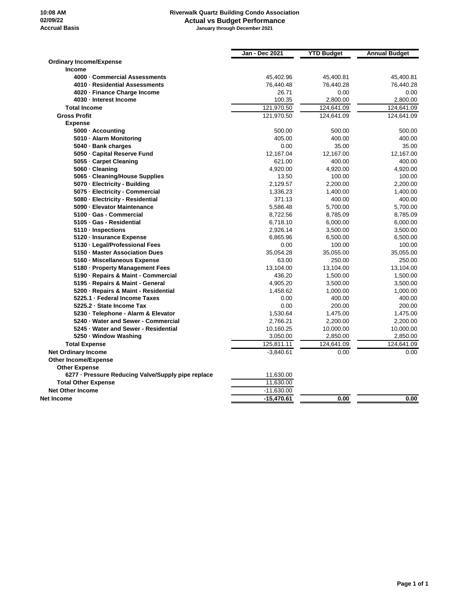## **Riverwalk Quartz Building Condo Association Actual vs Budget Performance January through December 2021**

|                                                    | Jan - Dec 2021 | <b>YTD Budget</b> | <b>Annual Budget</b> |
|----------------------------------------------------|----------------|-------------------|----------------------|
| <b>Ordinary Income/Expense</b>                     |                |                   |                      |
| <b>Income</b>                                      |                |                   |                      |
| 4000 - Commercial Assessments                      | 45,402.96      | 45,400.81         | 45,400.81            |
| 4010 - Residential Assessments                     | 76,440.48      | 76,440.28         | 76,440.28            |
| 4020 - Finance Charge Income                       | 26.71          | 0.00              | 0.00                 |
| 4030 - Interest Income                             | 100.35         | 2,800.00          | 2,800.00             |
| <b>Total Income</b>                                | 121,970.50     | 124,641.09        | 124,641.09           |
| <b>Gross Profit</b>                                | 121,970.50     | 124,641.09        | 124,641.09           |
| <b>Expense</b>                                     |                |                   |                      |
| 5000 - Accounting                                  | 500.00         | 500.00            | 500.00               |
| 5010 - Alarm Monitoring                            | 405.00         | 400.00            | 400.00               |
| 5040 · Bank charges                                | 0.00           | 35.00             | 35.00                |
| 5050 - Capital Reserve Fund                        | 12,167.04      | 12,167.00         | 12,167.00            |
| 5055 - Carpet Cleaning                             | 621.00         | 400.00            | 400.00               |
| 5060 - Cleaning                                    | 4,920.00       | 4,920.00          | 4,920.00             |
| 5065 - Cleaning/House Supplies                     | 13.50          | 100.00            | 100.00               |
| 5070 - Electricity - Building                      | 2,129.57       | 2,200.00          | 2,200.00             |
| 5075 - Electricity - Commercial                    | 1,336.23       | 1,400.00          | 1,400.00             |
| 5080 - Electricity - Residential                   | 371.13         | 400.00            | 400.00               |
| 5090 - Elevator Maintenance                        | 5,586.48       | 5,700.00          | 5,700.00             |
| 5100 · Gas - Commercial                            | 8,722.56       | 8,785.09          | 8,785.09             |
| 5105 · Gas - Residential                           | 6,718.10       | 6,000.00          | 6,000.00             |
| 5110 - Inspections                                 | 2,926.14       | 3,500.00          | 3,500.00             |
| 5120 - Insurance Expense                           | 6,865.96       | 6,500.00          | 6,500.00             |
| 5130 - Legal/Professional Fees                     | 0.00           | 100.00            | 100.00               |
| 5150 - Master Association Dues                     | 35,054.28      | 35,055.00         | 35,055.00            |
| 5160 - Miscellaneous Expense                       | 63.00          | 250.00            | 250.00               |
| 5180 · Property Management Fees                    | 13,104.00      | 13,104.00         | 13,104.00            |
| 5190 - Repairs & Maint - Commercial                | 436.20         | 1,500.00          | 1,500.00             |
| 5195 - Repairs & Maint - General                   | 4,905.20       | 3,500.00          | 3,500.00             |
| 5200 - Repairs & Maint - Residential               | 1,458.62       | 1,000.00          | 1,000.00             |
| 5225.1 - Federal Income Taxes                      | 0.00           | 400.00            | 400.00               |
| 5225.2 · State Income Tax                          | 0.00           | 200.00            | 200.00               |
| 5230 · Telephone - Alarm & Elevator                | 1,530.64       | 1,475.00          | 1,475.00             |
| 5240 · Water and Sewer - Commercial                | 2,766.21       | 2,200.00          | 2,200.00             |
| 5245 - Water and Sewer - Residential               | 10,160.25      | 10,000.00         | 10,000.00            |
| 5250 - Window Washing                              | 3,050.00       | 2,850.00          | 2,850.00             |
| <b>Total Expense</b>                               | 125,811.11     | 124,641.09        | 124,641.09           |
| <b>Net Ordinary Income</b>                         | $-3,840.61$    | 0.00              | 0.00                 |
| <b>Other Income/Expense</b>                        |                |                   |                      |
| <b>Other Expense</b>                               |                |                   |                      |
| 6277 - Pressure Reducing Valve/Supply pipe replace | 11,630.00      |                   |                      |
| <b>Total Other Expense</b>                         | 11,630.00      |                   |                      |
| <b>Net Other Income</b>                            | $-11,630.00$   |                   |                      |
| Net Income                                         | -15,470.61     | 0.00              | 0.00                 |
|                                                    |                |                   |                      |